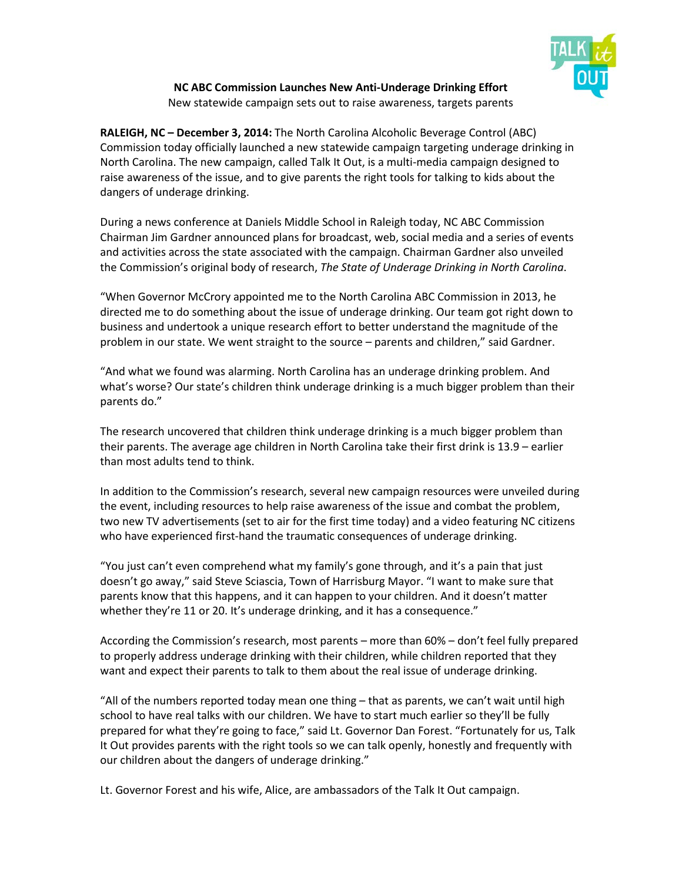

**NC ABC Commission Launches New Anti-Underage Drinking Effort** New statewide campaign sets out to raise awareness, targets parents

**RALEIGH, NC – December 3, 2014:** The North Carolina Alcoholic Beverage Control (ABC) Commission today officially launched a new statewide campaign targeting underage drinking in North Carolina. The new campaign, called Talk It Out, is a multi-media campaign designed to raise awareness of the issue, and to give parents the right tools for talking to kids about the dangers of underage drinking.

During a news conference at Daniels Middle School in Raleigh today, NC ABC Commission Chairman Jim Gardner announced plans for broadcast, web, social media and a series of events and activities across the state associated with the campaign. Chairman Gardner also unveiled the Commission's original body of research, *The State of Underage Drinking in North Carolina*.

"When Governor McCrory appointed me to the North Carolina ABC Commission in 2013, he directed me to do something about the issue of underage drinking. Our team got right down to business and undertook a unique research effort to better understand the magnitude of the problem in our state. We went straight to the source – parents and children," said Gardner.

"And what we found was alarming. North Carolina has an underage drinking problem. And what's worse? Our state's children think underage drinking is a much bigger problem than their parents do."

The research uncovered that children think underage drinking is a much bigger problem than their parents. The average age children in North Carolina take their first drink is 13.9 – earlier than most adults tend to think.

In addition to the Commission's research, several new campaign resources were unveiled during the event, including resources to help raise awareness of the issue and combat the problem, two new TV advertisements (set to air for the first time today) and a video featuring NC citizens who have experienced first-hand the traumatic consequences of underage drinking.

"You just can't even comprehend what my family's gone through, and it's a pain that just doesn't go away," said Steve Sciascia, Town of Harrisburg Mayor. "I want to make sure that parents know that this happens, and it can happen to your children. And it doesn't matter whether they're 11 or 20. It's underage drinking, and it has a consequence."

According the Commission's research, most parents – more than 60% – don't feel fully prepared to properly address underage drinking with their children, while children reported that they want and expect their parents to talk to them about the real issue of underage drinking.

"All of the numbers reported today mean one thing – that as parents, we can't wait until high school to have real talks with our children. We have to start much earlier so they'll be fully prepared for what they're going to face," said Lt. Governor Dan Forest. "Fortunately for us, Talk It Out provides parents with the right tools so we can talk openly, honestly and frequently with our children about the dangers of underage drinking."

Lt. Governor Forest and his wife, Alice, are ambassadors of the Talk It Out campaign.